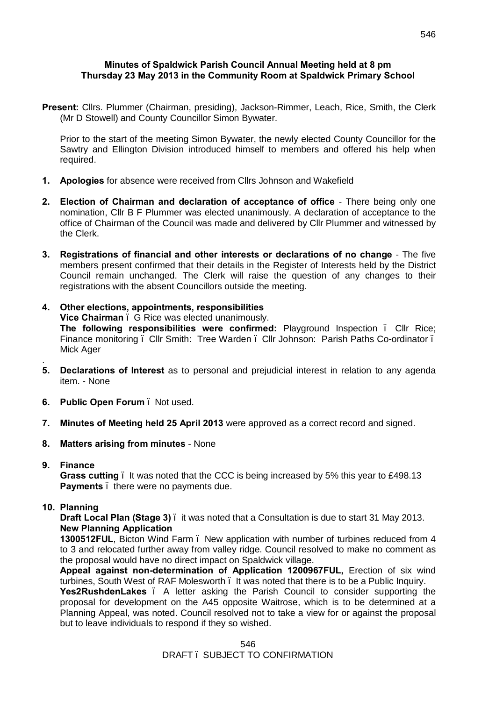#### **Minutes of Spaldwick Parish Council Annual Meeting held at 8 pm Thursday 23 May 2013 in the Community Room at Spaldwick Primary School**

**Present:** Cllrs. Plummer (Chairman, presiding), Jackson-Rimmer, Leach, Rice, Smith, the Clerk (Mr D Stowell) and County Councillor Simon Bywater.

Prior to the start of the meeting Simon Bywater, the newly elected County Councillor for the Sawtry and Ellington Division introduced himself to members and offered his help when required.

- **1. Apologies** for absence were received from Cllrs Johnson and Wakefield
- **2. Election of Chairman and declaration of acceptance of office** There being only one nomination, Cllr B F Plummer was elected unanimously. A declaration of acceptance to the office of Chairman of the Council was made and delivered by Cllr Plummer and witnessed by the Clerk.
- **3. Registrations of financial and other interests or declarations of no change** The five members present confirmed that their details in the Register of Interests held by the District Council remain unchanged. The Clerk will raise the question of any changes to their registrations with the absent Councillors outside the meeting.
- **4. Other elections, appointments, responsibilities**

**Vice Chairman** – G Rice was elected unanimously. **The following responsibilities were confirmed:** Playground Inspection – Cllr Rice; Finance monitoring . Cllr Smith: Tree Warden . Cllr Johnson: Parish Paths Co-ordinator . Mick Ager

- **5. Declarations of Interest** as to personal and prejudicial interest in relation to any agenda item. - None
- **6. Public Open Forum** Not used.
- **7. Minutes of Meeting held 25 April 2013** were approved as a correct record and signed.
- **8. Matters arising from minutes**  None
- **9. Finance**

.

**Grass cutting** – It was noted that the CCC is being increased by 5% this year to £498.13 **Payments** . there were no payments due.

**10. Planning**

**Draft Local Plan (Stage 3)** – it was noted that a Consultation is due to start 31 May 2013. **New Planning Application**

**1300512FUL**, Bicton Wind Farm – New application with number of turbines reduced from 4 to 3 and relocated further away from valley ridge. Council resolved to make no comment as the proposal would have no direct impact on Spaldwick village.

**Appeal against non-determination of Application 1200967FUL,** Erection of six wind turbines, South West of RAF Molesworth – It was noted that there is to be a Public Inquiry. **Yes2RushdenLakes** – A letter asking the Parish Council to consider supporting the proposal for development on the A45 opposite Waitrose, which is to be determined at a Planning Appeal, was noted. Council resolved not to take a view for or against the proposal but to leave individuals to respond if they so wished.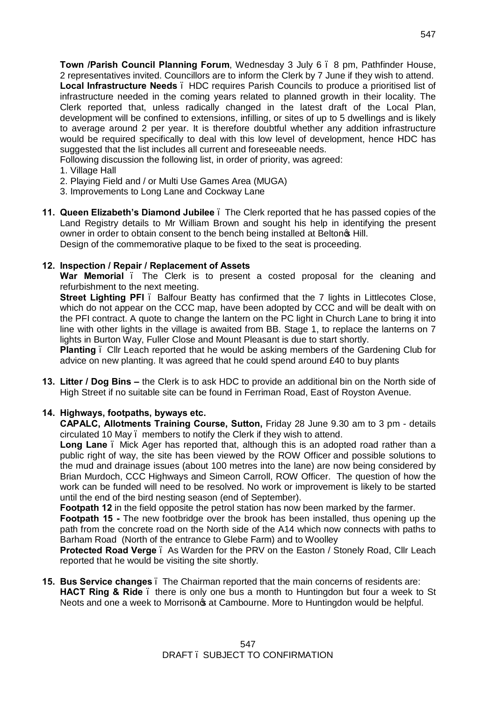**Town /Parish Council Planning Forum**, Wednesday 3 July 6 – 8 pm, Pathfinder House, 2 representatives invited. Councillors are to inform the Clerk by 7 June if they wish to attend. **Local Infrastructure Needs** – HDC requires Parish Councils to produce a prioritised list of infrastructure needed in the coming years related to planned growth in their locality. The Clerk reported that, unless radically changed in the latest draft of the Local Plan, development will be confined to extensions, infilling, or sites of up to 5 dwellings and is likely to average around 2 per year. It is therefore doubtful whether any addition infrastructure would be required specifically to deal with this low level of development, hence HDC has suggested that the list includes all current and foreseeable needs.

Following discussion the following list, in order of priority, was agreed:

- 1. Village Hall
- 2. Playing Field and / or Multi Use Games Area (MUGA)
- 3. Improvements to Long Lane and Cockway Lane
- **11. Queen Elizabeth's Diamond Jubilee**  The Clerk reported that he has passed copies of the Land Registry details to Mr William Brown and sought his help in identifying the present owner in order to obtain consent to the bench being installed at Belton<sub>®</sub> Hill. Design of the commemorative plaque to be fixed to the seat is proceeding.

# **12. Inspection / Repair / Replacement of Assets**

War Memorial . The Clerk is to present a costed proposal for the cleaning and refurbishment to the next meeting.

**Street Lighting PFI**. Balfour Beatty has confirmed that the 7 lights in Littlecotes Close, which do not appear on the CCC map, have been adopted by CCC and will be dealt with on the PFI contract. A quote to change the lantern on the PC light in Church Lane to bring it into line with other lights in the village is awaited from BB. Stage 1, to replace the lanterns on 7 lights in Burton Way, Fuller Close and Mount Pleasant is due to start shortly.

**Planting** – Cllr Leach reported that he would be asking members of the Gardening Club for advice on new planting. It was agreed that he could spend around £40 to buy plants

**13. Litter / Dog Bins –** the Clerk is to ask HDC to provide an additional bin on the North side of High Street if no suitable site can be found in Ferriman Road, East of Royston Avenue.

# **14. Highways, footpaths, byways etc.**

**CAPALC, Allotments Training Course, Sutton,** Friday 28 June 9.30 am to 3 pm - details circulated 10 May – members to notify the Clerk if they wish to attend.

**Long Lane** – Mick Ager has reported that, although this is an adopted road rather than a public right of way, the site has been viewed by the ROW Officer and possible solutions to the mud and drainage issues (about 100 metres into the lane) are now being considered by Brian Murdoch, CCC Highways and Simeon Carroll, ROW Officer. The question of how the work can be funded will need to be resolved. No work or improvement is likely to be started until the end of the bird nesting season (end of September).

**Footpath 12** in the field opposite the petrol station has now been marked by the farmer.

**Footpath 15 -** The new footbridge over the brook has been installed, thus opening up the path from the concrete road on the North side of the A14 which now connects with paths to Barham Road (North of the entrance to Glebe Farm) and to Woolley

**Protected Road Verge** – As Warden for the PRV on the Easton / Stonely Road, Cllr Leach reported that he would be visiting the site shortly.

**15. Bus Service changes** – The Chairman reported that the main concerns of residents are: **HACT Ring & Ride**. there is only one bus a month to Huntingdon but four a week to St Neots and one a week to Morrison<sub>®</sub> at Cambourne. More to Huntingdon would be helpful.